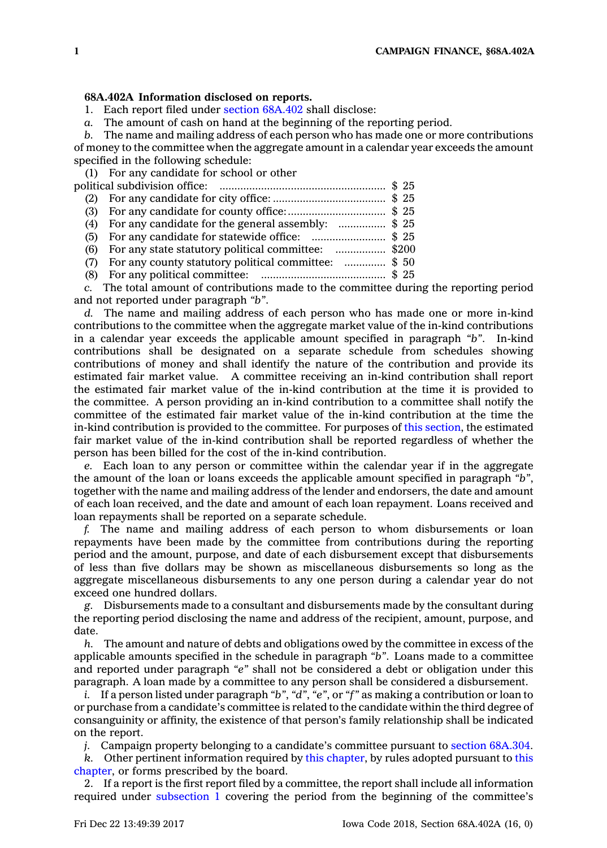## **68A.402A Information disclosed on reports.**

1. Each report filed under section [68A.402](https://www.legis.iowa.gov/docs/code/68A.402.pdf) shall disclose:

*a.* The amount of cash on hand at the beginning of the reporting period.

*b.* The name and mailing address of each person who has made one or more contributions of money to the committee when the aggregate amount in <sup>a</sup> calendar year exceeds the amount specified in the following schedule:

(1) For any candidate for school or other

| (4) For any candidate for the general assembly: \$ 25   |  |
|---------------------------------------------------------|--|
| (5) For any candidate for statewide office: \$ 25       |  |
| (6) For any state statutory political committee: \$200  |  |
| (7) For any county statutory political committee: \$ 50 |  |
|                                                         |  |
|                                                         |  |

*c.* The total amount of contributions made to the committee during the reporting period and not reported under paragraph *"b"*.

*d.* The name and mailing address of each person who has made one or more in-kind contributions to the committee when the aggregate market value of the in-kind contributions in <sup>a</sup> calendar year exceeds the applicable amount specified in paragraph *"b"*. In-kind contributions shall be designated on <sup>a</sup> separate schedule from schedules showing contributions of money and shall identify the nature of the contribution and provide its estimated fair market value. A committee receiving an in-kind contribution shall report the estimated fair market value of the in-kind contribution at the time it is provided to the committee. A person providing an in-kind contribution to <sup>a</sup> committee shall notify the committee of the estimated fair market value of the in-kind contribution at the time the in-kind contribution is provided to the committee. For purposes of this [section](https://www.legis.iowa.gov/docs/code/68A.402A.pdf), the estimated fair market value of the in-kind contribution shall be reported regardless of whether the person has been billed for the cost of the in-kind contribution.

*e.* Each loan to any person or committee within the calendar year if in the aggregate the amount of the loan or loans exceeds the applicable amount specified in paragraph *"b"*, together with the name and mailing address of the lender and endorsers, the date and amount of each loan received, and the date and amount of each loan repayment. Loans received and loan repayments shall be reported on <sup>a</sup> separate schedule.

*f.* The name and mailing address of each person to whom disbursements or loan repayments have been made by the committee from contributions during the reporting period and the amount, purpose, and date of each disbursement except that disbursements of less than five dollars may be shown as miscellaneous disbursements so long as the aggregate miscellaneous disbursements to any one person during <sup>a</sup> calendar year do not exceed one hundred dollars.

*g.* Disbursements made to <sup>a</sup> consultant and disbursements made by the consultant during the reporting period disclosing the name and address of the recipient, amount, purpose, and date.

*h.* The amount and nature of debts and obligations owed by the committee in excess of the applicable amounts specified in the schedule in paragraph *"b"*. Loans made to <sup>a</sup> committee and reported under paragraph *"e"* shall not be considered <sup>a</sup> debt or obligation under this paragraph. A loan made by <sup>a</sup> committee to any person shall be considered <sup>a</sup> disbursement.

*i.* If <sup>a</sup> person listed under paragraph *"b"*, *"d"*, *"e"*, or *"f"* as making <sup>a</sup> contribution or loan to or purchase from <sup>a</sup> candidate's committee is related to the candidate within the third degree of consanguinity or affinity, the existence of that person's family relationship shall be indicated on the report.

*j.* Campaign property belonging to <sup>a</sup> candidate's committee pursuant to section [68A.304](https://www.legis.iowa.gov/docs/code/68A.304.pdf).

*k.* Other pertinent information required by this [chapter](https://www.legis.iowa.gov/docs/code//68A.pdf), by rules adopted pursuant to [this](https://www.legis.iowa.gov/docs/code//68A.pdf) [chapter](https://www.legis.iowa.gov/docs/code//68A.pdf), or forms prescribed by the board.

2. If <sup>a</sup> report is the first report filed by <sup>a</sup> committee, the report shall include all information required under [subsection](https://www.legis.iowa.gov/docs/code/68A.402A.pdf) 1 covering the period from the beginning of the committee's